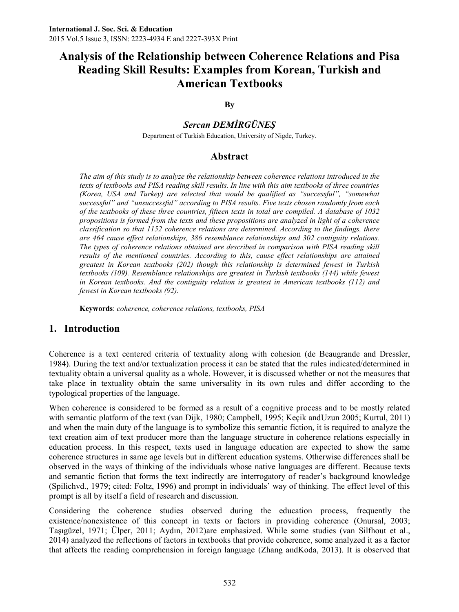### **By**

# *Sercan DEMİRGÜNEŞ*

Department of Turkish Education, University of Nigde, Turkey.

# **Abstract**

*The aim of this study is to analyze the relationship between coherence relations introduced in the texts of textbooks and PISA reading skill results. In line with this aim textbooks of three countries (Korea, USA and Turkey) are selected that would be qualified as "successful", "somewhat successful" and "unsuccessful" according to PISA results. Five texts chosen randomly from each of the textbooks of these three countries, fifteen texts in total are compiled. A database of 1032 propositions is formed from the texts and these propositions are analyzed in light of a coherence classification so that 1152 coherence relations are determined. According to the findings, there are 464 cause effect relationships, 386 resemblance relationships and 302 contiguity relations. The types of coherence relations obtained are described in comparison with PISA reading skill*  results of the mentioned countries. According to this, cause effect relationships are attained *greatest in Korean textbooks (202) though this relationship is determined fewest in Turkish textbooks (109). Resemblance relationships are greatest in Turkish textbooks (144) while fewest in Korean textbooks. And the contiguity relation is greatest in American textbooks (112) and fewest in Korean textbooks (92).*

**Keywords**: *coherence, coherence relations, textbooks, PISA*

# **1. Introduction**

Coherence is a text centered criteria of textuality along with cohesion (de Beaugrande and Dressler, 1984). During the text and/or textualization process it can be stated that the rules indicated/determined in textuality obtain a universal quality as a whole. However, it is discussed whether or not the measures that take place in textuality obtain the same universality in its own rules and differ according to the typological properties of the language.

When coherence is considered to be formed as a result of a cognitive process and to be mostly related with semantic platform of the text (van Dijk, 1980; Campbell, 1995; Keçik andUzun 2005; Kurtul, 2011) and when the main duty of the language is to symbolize this semantic fiction, it is required to analyze the text creation aim of text producer more than the language structure in coherence relations especially in education process. In this respect, texts used in language education are expected to show the same coherence structures in same age levels but in different education systems. Otherwise differences shall be observed in the ways of thinking of the individuals whose native languages are different. Because texts and semantic fiction that forms the text indirectly are interrogatory of reader's background knowledge (Spilichvd., 1979; cited: Foltz, 1996) and prompt in individuals' way of thinking. The effect level of this prompt is all by itself a field of research and discussion.

Considering the coherence studies observed during the education process, frequently the existence/nonexistence of this concept in texts or factors in providing coherence (Onursal, 2003; Taşıgüzel, 1971; Ülper, 2011; Aydın, 2012)are emphasized. While some studies (van Silfhout et al., 2014) analyzed the reflections of factors in textbooks that provide coherence, some analyzed it as a factor that affects the reading comprehension in foreign language (Zhang andKoda, 2013). It is observed that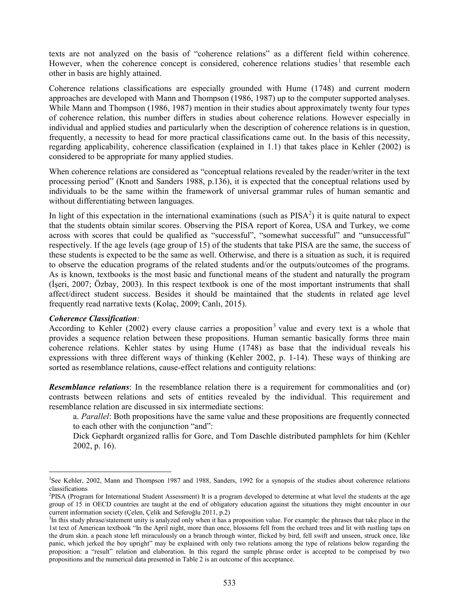texts are not analyzed on the basis of "coherence relations" as a different field within coherence. However, when the coherence concept is considered, coherence relations studies<sup>1</sup> that resemble each other in basis are highly attained.

Coherence relations classifications are especially grounded with Hume (1748) and current modern approaches are developed with Mann and Thompson (1986, 1987) up to the computer supported analyses. While Mann and Thompson (1986, 1987) mention in their studies about approximately twenty four types of coherence relation, this number differs in studies about coherence relations. However especially in individual and applied studies and particularly when the description of coherence relations is in question, frequently, a necessity to head for more practical classifications came out. In the basis of this necessity, regarding applicability, coherence classification (explained in 1.1) that takes place in Kehler (2002) is considered to be appropriate for many applied studies.

When coherence relations are considered as "conceptual relations revealed by the reader/writer in the text processing period" (Knott and Sanders 1988, p.136), it is expected that the conceptual relations used by individuals to be the same within the framework of universal grammar rules of human semantic and without differentiating between languages.

In light of this expectation in the international examinations (such as  $PISA<sup>2</sup>$ ) it is quite natural to expect that the students obtain similar scores. Observing the PISA report of Korea, USA and Turkey, we come across with scores that could be qualified as "successful", "somewhat successful" and "unsuccessful" respectively. If the age levels (age group of 15) of the students that take PISA are the same, the success of these students is expected to be the same as well. Otherwise, and there is a situation as such, it is required to observe the education programs of the related students and/or the outputs/outcomes of the programs. As is known, textbooks is the most basic and functional means of the student and naturally the program (İşeri, 2007; Özbay, 2003). In this respect textbook is one of the most important instruments that shall affect/direct student success. Besides it should be maintained that the students in related age level frequently read narrative texts (Kolaç, 2009; Canlı, 2015).

#### *Coherence Classification:*

 $\overline{a}$ 

According to Kehler (2002) every clause carries a proposition<sup>3</sup> value and every text is a whole that provides a sequence relation between these propositions. Human semantic basically forms three main coherence relations. Kehler states by using Hume (1748) as base that the individual reveals his expressions with three different ways of thinking (Kehler 2002, p. 1-14). These ways of thinking are sorted as resemblance relations, cause-effect relations and contiguity relations:

**Resemblance relations**: In the resemblance relation there is a requirement for commonalities and (or) contrasts between relations and sets of entities revealed by the individual. This requirement and resemblance relation are discussed in six intermediate sections:

a. *Parallel*: Both propositions have the same value and these propositions are frequently connected to each other with the conjunction "and":

Dick Gephardt organized rallis for Gore, and Tom Daschle distributed pamphlets for him (Kehler 2002, p. 16).

<sup>1</sup> See Kehler, 2002, Mann and Thompson 1987 and 1988, Sanders, 1992 for a synopsis of the studies about coherence relations classifications

<sup>2</sup> PISA (Program for International Student Assessment) It is a program developed to determine at what level the students at the age group of 15 in OECD countries are taught at the end of obligatory education against the situations they might encounter in our current information society (Çelen, Çelik and Seferoğlu 2011, p.2)

<sup>&</sup>lt;sup>3</sup>In this study phrase/statement unity is analyzed only when it has a proposition value. For example: the phrases that take place in the 1st text of American textbook "In the April night, more than once, blossoms fell from the orchard trees and lit with rustling taps on the drum skin. a peach stone left miraculously on a branch through winter, flicked by bird, fell swift and unseen, struck once, like panic, which jerked the boy upright" may be explained with only two relations among the type of relations below regarding the proposition: a "result" relation and elaboration. In this regard the sample phrase order is accepted to be comprised by two propositions and the numerical data presented in Table 2 is an outcome of this acceptance.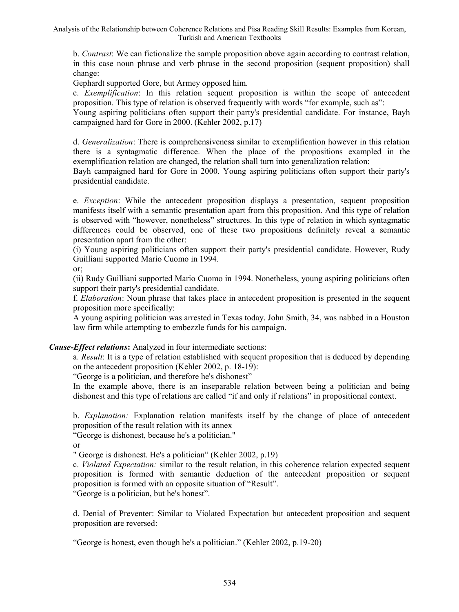b. *Contrast*: We can fictionalize the sample proposition above again according to contrast relation, in this case noun phrase and verb phrase in the second proposition (sequent proposition) shall change:

Gephardt supported Gore, but Armey opposed him.

c. *Exemplification*: In this relation sequent proposition is within the scope of antecedent proposition. This type of relation is observed frequently with words "for example, such as":

Young aspiring politicians often support their party's presidential candidate. For instance, Bayh campaigned hard for Gore in 2000. (Kehler 2002, p.17)

d. *Generalization*: There is comprehensiveness similar to exemplification however in this relation there is a syntagmatic difference. When the place of the propositions exampled in the exemplification relation are changed, the relation shall turn into generalization relation:

Bayh campaigned hard for Gore in 2000. Young aspiring politicians often support their party's presidential candidate.

e. *Exception*: While the antecedent proposition displays a presentation, sequent proposition manifests itself with a semantic presentation apart from this proposition. And this type of relation is observed with "however, nonetheless" structures. In this type of relation in which syntagmatic differences could be observed, one of these two propositions definitely reveal a semantic presentation apart from the other:

(i) Young aspiring politicians often support their party's presidential candidate. However, Rudy Guilliani supported Mario Cuomo in 1994.

or;

(ii) Rudy Guilliani supported Mario Cuomo in 1994. Nonetheless, young aspiring politicians often support their party's presidential candidate.

f. *Elaboration*: Noun phrase that takes place in antecedent proposition is presented in the sequent proposition more specifically:

A young aspiring politician was arrested in Texas today. John Smith, 34, was nabbed in a Houston law firm while attempting to embezzle funds for his campaign.

#### *Cause-Effect relations***:** Analyzed in four intermediate sections:

a. *Result*: It is a type of relation established with sequent proposition that is deduced by depending on the antecedent proposition (Kehler 2002, p. 18-19):

"George is a politician, and therefore he's dishonest"

In the example above, there is an inseparable relation between being a politician and being dishonest and this type of relations are called "if and only if relations" in propositional context.

b. *Explanation:* Explanation relation manifests itself by the change of place of antecedent proposition of the result relation with its annex

"George is dishonest, because he's a politician."

or

" George is dishonest. He's a politician" (Kehler 2002, p.19)

c. *Violated Expectation:* similar to the result relation, in this coherence relation expected sequent proposition is formed with semantic deduction of the antecedent proposition or sequent proposition is formed with an opposite situation of "Result".

"George is a politician, but he's honest".

d. Denial of Preventer: Similar to Violated Expectation but antecedent proposition and sequent proposition are reversed:

"George is honest, even though he's a politician." (Kehler 2002, p.19-20)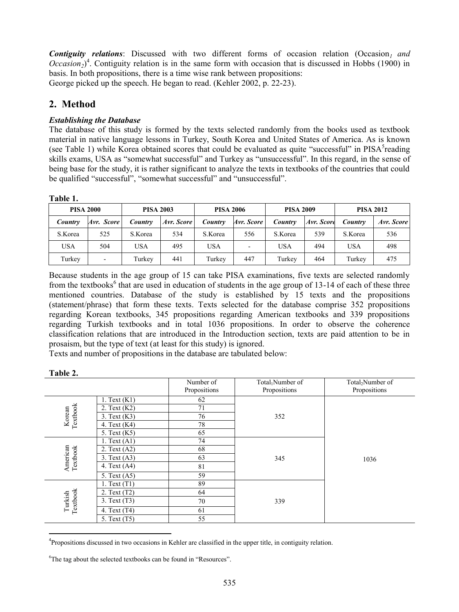*Contiguity relations*: Discussed with two different forms of occasion relation (Occasion*1 and*   $Occusion_2$ <sup>4</sup>. Contiguity relation is in the same form with occasion that is discussed in Hobbs (1900) in basis. In both propositions, there is a time wise rank between propositions: George picked up the speech. He began to read. (Kehler 2002, p. 22-23).

# **2. Method**

# *Establishing the Database*

The database of this study is formed by the texts selected randomly from the books used as textbook material in native language lessons in Turkey, South Korea and United States of America. As is known (see Table 1) while Korea obtained scores that could be evaluated as quite "successful" in PISA<sup>5</sup>reading skills exams, USA as "somewhat successful" and Turkey as "unsuccessful". In this regard, in the sense of being base for the study, it is rather significant to analyze the texts in textbooks of the countries that could be qualified "successful", "somewhat successful" and "unsuccessful".

#### **Table 1.**

| <b>PISA 2000</b> |                          |                | <b>PISA 2003</b> |            | <b>PISA 2006</b> |         | <b>PISA 2009</b> |            | <b>PISA 2012</b> |  |
|------------------|--------------------------|----------------|------------------|------------|------------------|---------|------------------|------------|------------------|--|
| Country          | Avr. Score               | <b>Country</b> | Avr. Score       | Country    | Avr. Score       | Country | Avr. Score       | Country    | Avr. Score       |  |
| S.Korea          | 525                      | S.Korea        | 534              | S.Korea    | 556              | S.Korea | 539              | S.Korea    | 536              |  |
| <b>USA</b>       | 504                      | <b>USA</b>     | 495              | <b>USA</b> | ۰                | USA     | 494              | <b>USA</b> | 498              |  |
| Turkey           | $\overline{\phantom{0}}$ | Turkey         | 441              | Turkey     | 447              | Turkey  | 464              | Turkey     | 475              |  |

Because students in the age group of 15 can take PISA examinations, five texts are selected randomly from the textbooks<sup>6</sup> that are used in education of students in the age group of 13-14 of each of these three mentioned countries. Database of the study is established by 15 texts and the propositions (statement/phrase) that form these texts. Texts selected for the database comprise 352 propositions regarding Korean textbooks, 345 propositions regarding American textbooks and 339 propositions regarding Turkish textbooks and in total 1036 propositions. In order to observe the coherence classification relations that are introduced in the Introduction section, texts are paid attention to be in prosaism, but the type of text (at least for this study) is ignored.

Texts and number of propositions in the database are tabulated below:

|                      |                  | Number of<br>Propositions | Total <sub>1</sub> Number of<br>Propositions | Total <sub>2</sub> Number of<br>Propositions |  |  |
|----------------------|------------------|---------------------------|----------------------------------------------|----------------------------------------------|--|--|
| Textbook             | 1. Text $(K1)$   | 62                        |                                              |                                              |  |  |
|                      | 2. Text $(K2)$   | 71                        |                                              |                                              |  |  |
| Korean               | $3.$ Text $(K3)$ | 76                        | 352                                          |                                              |  |  |
|                      | 4. Text $(K4)$   | 78                        |                                              |                                              |  |  |
|                      | 5. Text (K5)     | 65                        |                                              |                                              |  |  |
| American<br>Textbook | 1. Text $(A1)$   | 74                        |                                              |                                              |  |  |
|                      | 2. Text $(A2)$   | 68                        |                                              |                                              |  |  |
|                      | 3. Text (A3)     | 63                        | 345                                          | 1036                                         |  |  |
|                      | 4. Text $(A4)$   | 81                        |                                              |                                              |  |  |
|                      | 5. Text $(A5)$   | 59                        |                                              |                                              |  |  |
| Textbook<br>Turkish  | 1. Text $(T1)$   | 89                        |                                              |                                              |  |  |
|                      | 2. Text (T2)     | 64                        |                                              |                                              |  |  |
|                      | 3. Text(T3)      | 70                        | 339                                          |                                              |  |  |
|                      | 4. Text (T4)     | 61                        |                                              |                                              |  |  |
|                      | 5. Text (T5)     | 55                        |                                              |                                              |  |  |

#### **Table 2.**

 $\overline{a}$ 4 Propositions discussed in two occasions in Kehler are classified in the upper title, in contiguity relation.

<sup>&</sup>lt;sup>6</sup>The tag about the selected textbooks can be found in "Resources".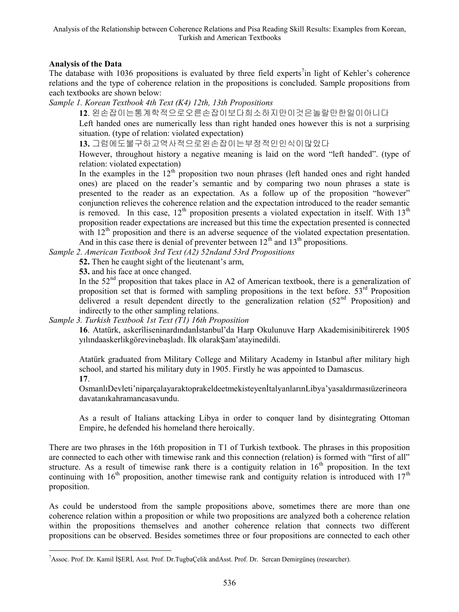### **Analysis of the Data**

 $\ddot{\phantom{a}}$ 

The database with 1036 propositions is evaluated by three field experts<sup>7</sup>in light of Kehler's coherence relations and the type of coherence relation in the propositions is concluded. Sample propositions from each textbooks are shown below:

*Sample 1. Korean Textbook 4th Text (K4) 12th, 13th Propositions*

**12**. 왼손잡이는통계학적으로오른손잡이보다희소하지만이것은놀랄만한일이아니다

Left handed ones are numerically less than right handed ones however this is not a surprising situation. (type of relation: violated expectation)

**13.** 그럼에도불구하고역사적으로왼손잡이는부정적인인식이많았다

However, throughout history a negative meaning is laid on the word "left handed". (type of relation: violated expectation)

In the examples in the  $12<sup>th</sup>$  proposition two noun phrases (left handed ones and right handed ones) are placed on the reader's semantic and by comparing two noun phrases a state is presented to the reader as an expectation. As a follow up of the proposition "however" conjunction relieves the coherence relation and the expectation introduced to the reader semantic is removed. In this case,  $12<sup>th</sup>$  proposition presents a violated expectation in itself. With  $13<sup>th</sup>$ proposition reader expectations are increased but this time the expectation presented is connected with 12<sup>th</sup> proposition and there is an adverse sequence of the violated expectation presentation. And in this case there is denial of preventer between  $12<sup>th</sup>$  and  $13<sup>th</sup>$  propositions.

*Sample 2. American Textbook 3rd Text (A2) 52ndand 53rd Propositions*

**52.** Then he caught sight of the lieutenant's arm,

**53.** and his face at once changed.

In the  $52<sup>nd</sup>$  proposition that takes place in A2 of American textbook, there is a generalization of proposition set that is formed with sampling propositions in the text before.  $53<sup>rd</sup>$  Proposition delivered a result dependent directly to the generalization relation  $(52<sup>nd</sup>$  Proposition) and indirectly to the other sampling relations.

*Sample 3. Turkish Textbook 1st Text (T1) 16th Proposition*

**16**. Atatürk, askerîliseninardındanİstanbul'da Harp Okulunuve Harp Akademisinibitirerek 1905 yılındaaskerlikgörevinebaşladı. İlk olarakŞam'atayinedildi.

Atatürk graduated from Military College and Military Academy in Istanbul after military high school, and started his military duty in 1905. Firstly he was appointed to Damascus. **17**.

OsmanlıDevleti'niparçalayaraktoprakeldeetmekisteyenİtalyanlarınLibya'yasaldırmasıüzerineora davatanıkahramancasavundu.

As a result of Italians attacking Libya in order to conquer land by disintegrating Ottoman Empire, he defended his homeland there heroically.

There are two phrases in the 16th proposition in T1 of Turkish textbook. The phrases in this proposition are connected to each other with timewise rank and this connection (relation) is formed with "first of all" structure. As a result of timewise rank there is a contiguity relation in  $16<sup>th</sup>$  proposition. In the text continuing with  $16<sup>th</sup>$  proposition, another timewise rank and contiguity relation is introduced with  $17<sup>th</sup>$ proposition.

As could be understood from the sample propositions above, sometimes there are more than one coherence relation within a proposition or while two propositions are analyzed both a coherence relation within the propositions themselves and another coherence relation that connects two different propositions can be observed. Besides sometimes three or four propositions are connected to each other

<sup>7</sup>Assoc. Prof. Dr. Kamil İŞERİ, Asst. Prof. Dr.TugbaÇelik andAsst. Prof. Dr. Sercan Demirgüneş (researcher).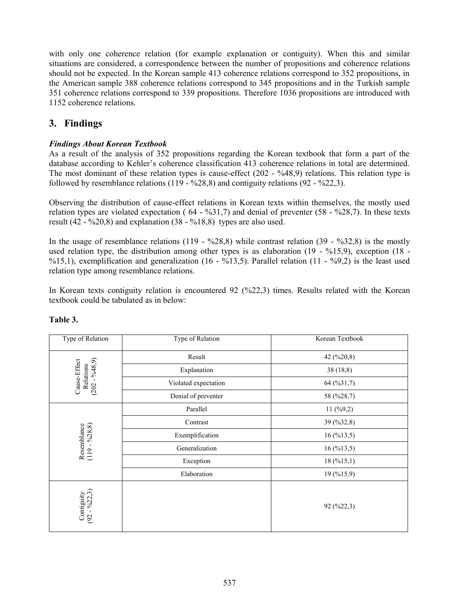with only one coherence relation (for example explanation or contiguity). When this and similar situations are considered, a correspondence between the number of propositions and coherence relations should not be expected. In the Korean sample 413 coherence relations correspond to 352 propositions, in the American sample 388 coherence relations correspond to 345 propositions and in the Turkish sample 351 coherence relations correspond to 339 propositions. Therefore 1036 propositions are introduced with 1152 coherence relations.

# **3. Findings**

### *Findings About Korean Textbook*

As a result of the analysis of 352 propositions regarding the Korean textbook that form a part of the database according to Kehler's coherence classification 413 coherence relations in total are determined. The most dominant of these relation types is cause-effect (202 - %48,9) relations. This relation type is followed by resemblance relations  $(119 - %28, 8)$  and contiguity relations  $(92 - %22, 3)$ .

Observing the distribution of cause-effect relations in Korean texts within themselves, the mostly used relation types are violated expectation ( $64 - %31,7$ ) and denial of preventer ( $58 - %28,7$ ). In these texts result (42 - %20,8) and explanation (38 - %18,8) types are also used.

In the usage of resemblance relations  $(119 - %28.8)$  while contrast relation  $(39 - %32.8)$  is the mostly used relation type, the distribution among other types is as elaboration (19 - %15,9), exception (18 - %15,1), exemplification and generalization (16 - %13,5). Parallel relation (11 - %9,2) is the least used relation type among resemblance relations.

In Korean texts contiguity relation is encountered 92 (%22,3) times. Results related with the Korean textbook could be tabulated as in below:

| Type of Relation                         | Type of Relation     | Korean Textbook |
|------------------------------------------|----------------------|-----------------|
|                                          | Result               | 42 (%20,8)      |
| $-9,648,9)$<br>Cause-Effect<br>Relations | Explanation          | 38(18,8)        |
| (202)                                    | Violated expectation | 64 (%31,7)      |
|                                          | Denial of preventer  | 58 (%28,7)      |
|                                          | Parallel             | $11 \, (%9,2)$  |
|                                          | Contrast             | 39 (%32,8)      |
| $-9628,8)$                               | Exemplification      | 16(%13,5)       |
| Resemblance<br>$(119 - %28, 8)$          | Generalization       | 16 (%13,5)      |
|                                          | Exception            | 18(%15,1)       |
|                                          | Elaboration          | 19 (%15,9)      |
| Contiguity<br>(92 - %22,3)               |                      | 92 (%22,3)      |

### **Table 3.**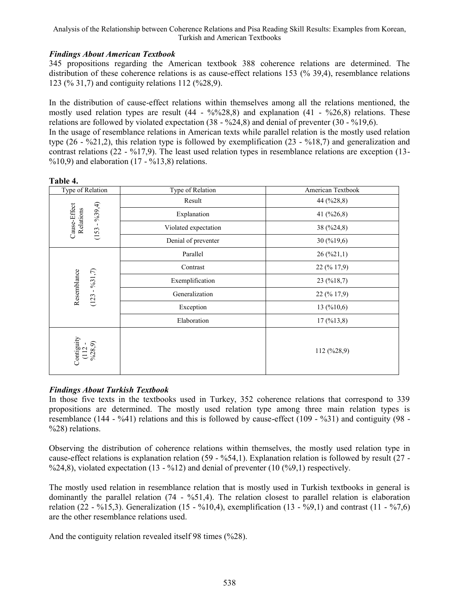#### *Findings About American Textbook*

345 propositions regarding the American textbook 388 coherence relations are determined. The distribution of these coherence relations is as cause-effect relations 153 (% 39,4), resemblance relations 123 (% 31,7) and contiguity relations 112 (%28,9).

In the distribution of cause-effect relations within themselves among all the relations mentioned, the mostly used relation types are result  $(44 - \frac{96}{928,8})$  and explanation  $(41 - \frac{9626,8}{926,8})$  relations. These relations are followed by violated expectation  $(38 - \frac{624.8}{8})$  and denial of preventer  $(30 - \frac{619.6}{8})$ . In the usage of resemblance relations in American texts while parallel relation is the mostly used relation type (26 - %21,2), this relation type is followed by exemplification (23 - %18,7) and generalization and contrast relations (22 - %17,9). The least used relation types in resemblance relations are exception (13-  $\%10,9$ ) and elaboration (17 -  $\%13,8$ ) relations.

| Type of Relation                               | Type of Relation     | American Textbook  |  |  |
|------------------------------------------------|----------------------|--------------------|--|--|
|                                                | Result               | 44 (%28,8)         |  |  |
|                                                | Explanation          | 41 (%26,8)         |  |  |
| $(153 - 9639, 4)$<br>Cause-Effect<br>Relations | Violated expectation | 38 (%24,8)         |  |  |
|                                                | Denial of preventer  | $30 \, ( \%19, 6)$ |  |  |
|                                                | Parallel             | 26 (%21,1)         |  |  |
|                                                | Contrast             | 22 (% 17,9)        |  |  |
| %31,7                                          | Exemplification      | 23(%18,7)          |  |  |
| Resemblance<br>$\blacksquare$<br>(123)         | Generalization       | 22 (% 17,9)        |  |  |
|                                                | Exception            | 13(%10,6)          |  |  |
|                                                | Elaboration          | 17(%13,8)          |  |  |
| Contiguity<br>$(112 -$<br>%28,9                |                      | $112 \, ( %28.9)$  |  |  |

**Table 4.**

### *Findings About Turkish Textbook*

In those five texts in the textbooks used in Turkey, 352 coherence relations that correspond to 339 propositions are determined. The mostly used relation type among three main relation types is resemblance (144 - %41) relations and this is followed by cause-effect (109 - %31) and contiguity (98 - %28) relations.

Observing the distribution of coherence relations within themselves, the mostly used relation type in cause-effect relations is explanation relation (59 - %54,1). Explanation relation is followed by result (27 - %24,8), violated expectation  $(13 - %12)$  and denial of preventer  $(10 (^{96}9, 1)$  respectively.

The mostly used relation in resemblance relation that is mostly used in Turkish textbooks in general is dominantly the parallel relation  $(74 - %51,4)$ . The relation closest to parallel relation is elaboration relation (22 - %15,3). Generalization (15 - %10,4), exemplification (13 - %9,1) and contrast (11 - %7,6) are the other resemblance relations used.

And the contiguity relation revealed itself 98 times (%28).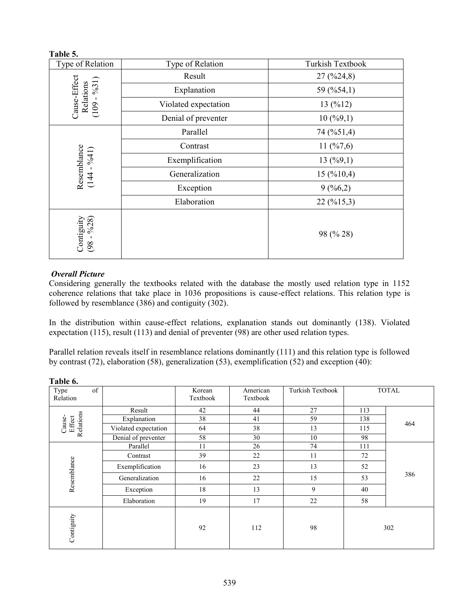#### **Table 5.**

| Type of Relation                     | Type of Relation     | Turkish Textbook                 |  |
|--------------------------------------|----------------------|----------------------------------|--|
|                                      | Result               | $27 \left( \frac{9}{24} \right)$ |  |
| Cause-Effect<br>%31<br>Relations     | Explanation          | 59 (%54,1)                       |  |
| $\mathbf{I}$<br>(109)                | Violated expectation | 13(%12)                          |  |
|                                      | Denial of preventer  | 10(%9,1)                         |  |
|                                      | Parallel             | 74 (%51,4)                       |  |
|                                      | Contrast             | 11 $(\frac{6}{7}, 6)$            |  |
|                                      | Exemplification      | 13(%9,1)                         |  |
| Resemblance<br>(144 - %41)           | Generalization       | 15(%10,4)                        |  |
|                                      | Exception            | 9(%6,2)                          |  |
|                                      | Elaboration          | 22 (%15,3)                       |  |
| Contiguity<br>$\frac{6}{28}$<br>(98) |                      | 98 (% 28)                        |  |

#### *Overall Picture*

Considering generally the textbooks related with the database the mostly used relation type in 1152 coherence relations that take place in 1036 propositions is cause-effect relations. This relation type is followed by resemblance (386) and contiguity (302).

In the distribution within cause-effect relations, explanation stands out dominantly (138). Violated expectation (115), result (113) and denial of preventer (98) are other used relation types.

Parallel relation reveals itself in resemblance relations dominantly (111) and this relation type is followed by contrast (72), elaboration (58), generalization (53), exemplification (52) and exception (40):

| of<br>Type<br>Relation        |                      | Korean<br>Textbook | American<br>Textbook | Turkish Textbook |     | <b>TOTAL</b> |
|-------------------------------|----------------------|--------------------|----------------------|------------------|-----|--------------|
|                               | Result               | 42                 | 44                   | 27               | 113 | 464          |
|                               | Explanation          | 38                 | 41                   | 59               | 138 |              |
| Relations<br>Effect<br>Cause- | Violated expectation | 64                 | 38                   | 13               | 115 |              |
|                               | Denial of preventer  | 58                 | 30                   | 10               | 98  |              |
|                               | Parallel             | 11                 | 26                   | 74               | 111 | 386          |
| Resemblance                   | Contrast             | 39                 | 22                   | 11               | 72  |              |
|                               | Exemplification      | 16                 | 23                   | 13               | 52  |              |
|                               | Generalization       | 16                 | 22                   | 15               | 53  |              |
|                               | Exception            | 18                 | 13                   | 9                | 40  |              |
|                               | Elaboration          | 19                 | 17                   | 22               | 58  |              |
| Contiguity                    |                      | 92                 | 112                  | 98               |     | 302          |

**Table 6.**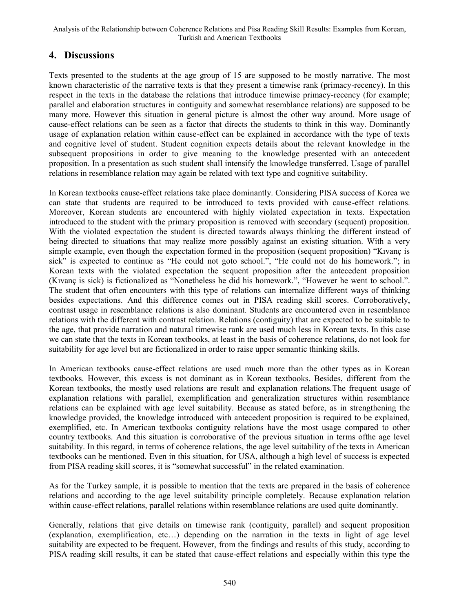# **4. Discussions**

Texts presented to the students at the age group of 15 are supposed to be mostly narrative. The most known characteristic of the narrative texts is that they present a timewise rank (primacy-recency). In this respect in the texts in the database the relations that introduce timewise primacy-recency (for example; parallel and elaboration structures in contiguity and somewhat resemblance relations) are supposed to be many more. However this situation in general picture is almost the other way around. More usage of cause-effect relations can be seen as a factor that directs the students to think in this way. Dominantly usage of explanation relation within cause-effect can be explained in accordance with the type of texts and cognitive level of student. Student cognition expects details about the relevant knowledge in the subsequent propositions in order to give meaning to the knowledge presented with an antecedent proposition. In a presentation as such student shall intensify the knowledge transferred. Usage of parallel relations in resemblance relation may again be related with text type and cognitive suitability.

In Korean textbooks cause-effect relations take place dominantly. Considering PISA success of Korea we can state that students are required to be introduced to texts provided with cause-effect relations. Moreover, Korean students are encountered with highly violated expectation in texts. Expectation introduced to the student with the primary proposition is removed with secondary (sequent) proposition. With the violated expectation the student is directed towards always thinking the different instead of being directed to situations that may realize more possibly against an existing situation. With a very simple example, even though the expectation formed in the proposition (sequent proposition) "Kıvanç is sick" is expected to continue as "He could not goto school.", "He could not do his homework."; in Korean texts with the violated expectation the sequent proposition after the antecedent proposition (Kıvanç is sick) is fictionalized as "Nonetheless he did his homework.", "However he went to school.". The student that often encounters with this type of relations can internalize different ways of thinking besides expectations. And this difference comes out in PISA reading skill scores. Corroboratively, contrast usage in resemblance relations is also dominant. Students are encountered even in resemblance relations with the different with contrast relation. Relations (contiguity) that are expected to be suitable to the age, that provide narration and natural timewise rank are used much less in Korean texts. In this case we can state that the texts in Korean textbooks, at least in the basis of coherence relations, do not look for suitability for age level but are fictionalized in order to raise upper semantic thinking skills.

In American textbooks cause-effect relations are used much more than the other types as in Korean textbooks. However, this excess is not dominant as in Korean textbooks. Besides, different from the Korean textbooks, the mostly used relations are result and explanation relations.The frequent usage of explanation relations with parallel, exemplification and generalization structures within resemblance relations can be explained with age level suitability. Because as stated before, as in strengthening the knowledge provided, the knowledge introduced with antecedent proposition is required to be explained, exemplified, etc. In American textbooks contiguity relations have the most usage compared to other country textbooks. And this situation is corroborative of the previous situation in terms ofthe age level suitability. In this regard, in terms of coherence relations, the age level suitability of the texts in American textbooks can be mentioned. Even in this situation, for USA, although a high level of success is expected from PISA reading skill scores, it is "somewhat successful" in the related examination.

As for the Turkey sample, it is possible to mention that the texts are prepared in the basis of coherence relations and according to the age level suitability principle completely. Because explanation relation within cause-effect relations, parallel relations within resemblance relations are used quite dominantly.

Generally, relations that give details on timewise rank (contiguity, parallel) and sequent proposition (explanation, exemplification, etc…) depending on the narration in the texts in light of age level suitability are expected to be frequent. However, from the findings and results of this study, according to PISA reading skill results, it can be stated that cause-effect relations and especially within this type the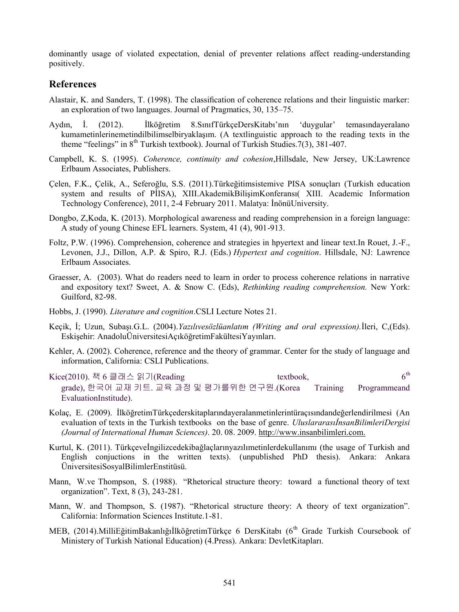dominantly usage of violated expectation, denial of preventer relations affect reading-understanding positively.

### **References**

- Alastair, K. and Sanders, T. (1998). The classification of coherence relations and their linguistic marker: an exploration of two languages. Journal of Pragmatics, 30, 135–75.
- Aydın, İ. (2012). İlköğretim 8.SınıfTürkçeDersKitabı'nın 'duygular' temasındayeralano kumametinlerinemetindilbilimselbiryaklaşım. (A textlinguistic approach to the reading texts in the theme "feelings" in  $8<sup>th</sup>$  Turkish textbook). Journal of Turkish Studies.7(3), 381-407.
- Campbell, K. S. (1995). *Coherence, continuity and cohesion*,Hillsdale, New Jersey, UK:Lawrence Erlbaum Associates, Publishers.
- Çelen, F.K., Çelik, A., Seferoğlu, S.S. (2011).Türkeğitimsistemive PISA sonuçları (Turkish education system and results of PİISA), XIII.AkademikBilişimKonferansı( XIII. Academic Information Technology Conference), 2011, 2-4 February 2011. Malatya: İnönüUniversity.
- Dongbo, Z,Koda, K. (2013). Morphological awareness and reading comprehension in a foreign language: A study of young Chinese EFL learners. System, 41 (4), 901-913.
- Foltz, P.W. (1996). Comprehension, coherence and strategies in hpyertext and linear text.In Rouet, J.-F., Levonen, J.J., Dillon, A.P. & Spiro, R.J. (Eds.) *Hypertext and cognition*. Hillsdale, NJ: Lawrence Erlbaum Associates.
- Graesser, A. (2003). What do readers need to learn in order to process coherence relations in narrative and expository text? Sweet, A. & Snow C. (Eds), *Rethinking reading comprehension.* New York: Guilford, 82-98.
- Hobbs, J. (1990). *Literature and cognition*.CSLI Lecture Notes 21.
- Keçik, İ; Uzun, Subaşı.G.L. (2004).*Yazılıvesözlüanlatım (Writing and oral expression).*İleri, C,(Eds). Eskişehir: AnadoluÜniversitesiAçıköğretimFakültesiYayınları.
- Kehler, A. (2002). Coherence, reference and the theory of grammar. Center for the study of language and information, California: CSLI Publications.
- Kice(2010). 책 6 클래스 읽기(Reading textbook, textbook,  $6^{th}$ grade), 한국어 교재 키트. 교육 과정 및 평가를위한 연구원.(Korea Training Programmeand EvaluationInstitude).
- Kolaç, E. (2009). İlköğretimTürkçederskitaplarındayeralanmetinlerintüraçısındandeğerlendirilmesi (An evaluation of texts in the Turkish textbooks on the base of genre. *UluslararasıİnsanBilimleriDergisi (Journal of International Human Sciences)*. 20. 08. 2009. [http://www.insanbilimleri.com.](http://www.insanbilimleri.com/)
- Kurtul, K. (2011). Türkçeveİngilizcedekibağlaçlarınyazılımetinlerdekullanımı (the usage of Turkish and English conjuctions in the written texts). (unpublished PhD thesis). Ankara: Ankara ÜniversitesiSosyalBilimlerEnstitüsü.
- Mann, W.ve Thompson, S. (1988). "Rhetorical structure theory: toward a functional theory of text organization". Text, 8 (3), 243-281.
- Mann, W. and Thompson, S. (1987). "Rhetorical structure theory: A theory of text organization". California: Information Sciences Institute.1-81.
- MEB, (2014).MilliEğitimBakanlığıİlköğretimTürkçe 6 DersKitabı (6<sup>th</sup> Grade Turkish Coursebook of Ministery of Turkish National Education) (4.Press). Ankara: DevletKitapları.